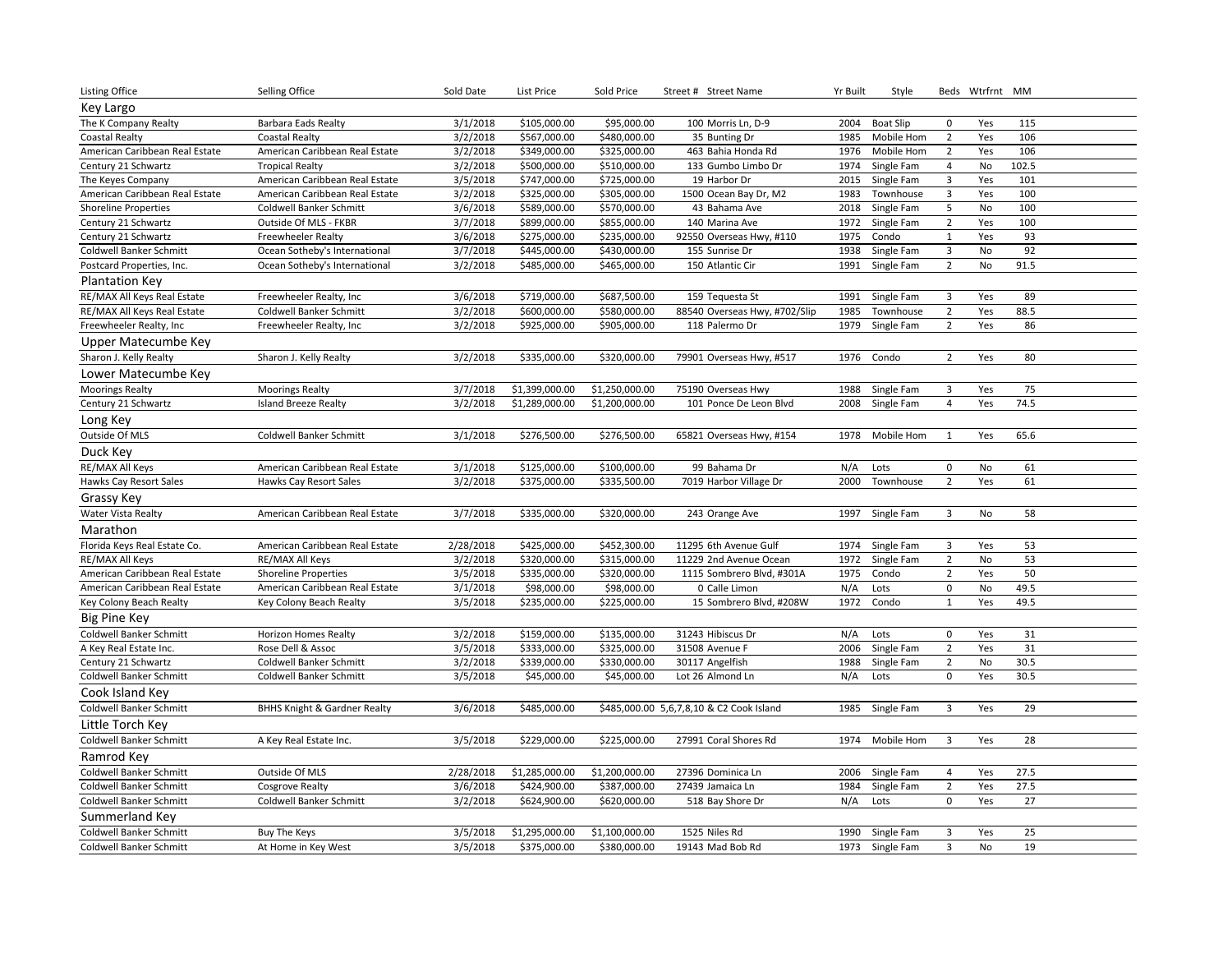| Listing Office                                  | Selling Office                                 | Sold Date             | <b>List Price</b>            | Sold Price                   | Street # Street Name                     | Yr Built    | Style                    |                                           | Beds Wtrfrnt MM |          |  |
|-------------------------------------------------|------------------------------------------------|-----------------------|------------------------------|------------------------------|------------------------------------------|-------------|--------------------------|-------------------------------------------|-----------------|----------|--|
| Key Largo                                       |                                                |                       |                              |                              |                                          |             |                          |                                           |                 |          |  |
| The K Company Realty                            | Barbara Eads Realty                            | 3/1/2018              | \$105,000.00                 | \$95,000.00                  | 100 Morris Ln, D-9                       | 2004        | <b>Boat Slip</b>         | $\mathbf 0$                               | Yes             | 115      |  |
| <b>Coastal Realty</b>                           | <b>Coastal Realty</b>                          | 3/2/2018              | \$567,000.00                 | \$480,000.00                 | 35 Bunting Dr                            | 1985        | Mobile Hom               | $\overline{2}$                            | Yes             | 106      |  |
| American Caribbean Real Estate                  | American Caribbean Real Estate                 | 3/2/2018              | \$349,000.00                 | \$325,000.00                 | 463 Bahia Honda Rd                       | 1976        | Mobile Hom               | $\overline{2}$                            | Yes             | 106      |  |
| Century 21 Schwartz                             | <b>Tropical Realty</b>                         | 3/2/2018              | \$500,000.00                 | \$510,000.00                 | 133 Gumbo Limbo Dr                       | 1974        | Single Fam               | 4                                         | No              | 102.5    |  |
| The Keyes Company                               | American Caribbean Real Estate                 | 3/5/2018              | \$747,000.00                 | \$725,000.00                 | 19 Harbor Dr                             | 2015        | Single Fam               | 3                                         | Yes             | 101      |  |
| American Caribbean Real Estate                  | American Caribbean Real Estate                 | 3/2/2018              | \$325,000.00                 | \$305,000.00                 | 1500 Ocean Bay Dr, M2                    | 1983        | Townhouse                | 3                                         | Yes             | 100      |  |
| <b>Shoreline Properties</b>                     | Coldwell Banker Schmitt                        | 3/6/2018              | \$589,000.00                 | \$570,000.00                 | 43 Bahama Ave                            | 2018        | Single Fam               | 5                                         | No              | 100      |  |
| Century 21 Schwartz                             | Outside Of MLS - FKBR                          | 3/7/2018              | \$899,000.00                 | \$855,000.00                 | 140 Marina Ave                           | 1972        | Single Fam               | $\overline{2}$                            | Yes             | 100      |  |
| Century 21 Schwartz                             | <b>Freewheeler Realty</b>                      | 3/6/2018              | \$275,000.00                 | \$235,000.00                 | 92550 Overseas Hwy, #110                 | 1975        | Condo                    | $\mathbf{1}$                              | Yes             | 93       |  |
| Coldwell Banker Schmitt                         | Ocean Sotheby's International                  | 3/7/2018              | \$445,000.00                 | \$430,000.00                 | 155 Sunrise Dr                           | 1938        | Single Fam               | 3                                         | No              | 92       |  |
| Postcard Properties, Inc.                       | Ocean Sotheby's International                  | 3/2/2018              | \$485,000.00                 | \$465,000.00                 | 150 Atlantic Cir                         | 1991        | Single Fam               | $\overline{2}$                            | No              | 91.5     |  |
| <b>Plantation Key</b>                           |                                                |                       |                              |                              |                                          |             |                          |                                           |                 |          |  |
| RE/MAX All Keys Real Estate                     | Freewheeler Realty, Inc                        | 3/6/2018              | \$719,000.00                 | \$687,500.00                 | 159 Tequesta St                          | 1991        | Single Fam               | $\overline{\mathbf{3}}$                   | Yes             | 89       |  |
| RE/MAX All Keys Real Estate                     | Coldwell Banker Schmitt                        | 3/2/2018              | \$600,000.00                 | \$580,000.00                 | 88540 Overseas Hwy, #702/Slip            | 1985        | Townhouse                | $\overline{2}$                            | Yes             | 88.5     |  |
| Freewheeler Realty, Inc                         | Freewheeler Realty, Inc                        | 3/2/2018              | \$925,000.00                 | \$905,000.00                 | 118 Palermo Dr                           | 1979        | Single Fam               | $\overline{2}$                            | Yes             | 86       |  |
| Upper Matecumbe Key                             |                                                |                       |                              |                              |                                          |             |                          |                                           |                 |          |  |
| Sharon J. Kelly Realty                          | Sharon J. Kelly Realty                         | 3/2/2018              | \$335,000.00                 | \$320,000.00                 | 79901 Overseas Hwy, #517                 | 1976        | Condo                    | $\overline{2}$                            | Yes             | 80       |  |
| Lower Matecumbe Key                             |                                                |                       |                              |                              |                                          |             |                          |                                           |                 |          |  |
| <b>Moorings Realty</b>                          | <b>Moorings Realty</b>                         | 3/7/2018              | \$1,399,000.00               | \$1,250,000.00               | 75190 Overseas Hwy                       | 1988        | Single Fam               | 3                                         | Yes             | 75       |  |
| Century 21 Schwartz                             | <b>Island Breeze Realty</b>                    | 3/2/2018              | \$1,289,000.00               | \$1,200,000.00               | 101 Ponce De Leon Blvd                   | 2008        | Single Fam               | 4                                         | Yes             | 74.5     |  |
| Long Key                                        |                                                |                       |                              |                              |                                          |             |                          |                                           |                 |          |  |
| Outside Of MLS                                  | Coldwell Banker Schmitt                        | 3/1/2018              | \$276,500.00                 | \$276,500.00                 | 65821 Overseas Hwy, #154                 | 1978        | Mobile Hom               | 1                                         | Yes             | 65.6     |  |
| Duck Key                                        |                                                |                       |                              |                              |                                          |             |                          |                                           |                 |          |  |
| RE/MAX All Keys                                 | American Caribbean Real Estate                 | 3/1/2018              | \$125,000.00                 | \$100,000.00                 | 99 Bahama Dr                             | N/A         | Lots                     | $\mathbf 0$                               | No              | 61       |  |
| Hawks Cay Resort Sales                          | Hawks Cay Resort Sales                         | 3/2/2018              | \$375,000.00                 | \$335,500.00                 | 7019 Harbor Village Dr                   | 2000        | Townhouse                | $\overline{2}$                            | Yes             | 61       |  |
| Grassy Key                                      |                                                |                       |                              |                              |                                          |             |                          |                                           |                 |          |  |
| Water Vista Realty                              | American Caribbean Real Estate                 | 3/7/2018              | \$335,000.00                 | \$320,000.00                 | 243 Orange Ave                           | 1997        | Single Fam               | $\overline{\mathbf{3}}$                   | No              | 58       |  |
| Marathon                                        |                                                |                       |                              |                              |                                          |             |                          |                                           |                 |          |  |
|                                                 |                                                |                       |                              | \$452,300.00                 | 11295 6th Avenue Gulf                    | 1974        |                          |                                           |                 |          |  |
| Florida Keys Real Estate Co.<br>RE/MAX All Keys | American Caribbean Real Estate                 | 2/28/2018<br>3/2/2018 | \$425,000.00<br>\$320,000.00 | \$315,000.00                 | 11229 2nd Avenue Ocean                   | 1972        | Single Fam<br>Single Fam | $\overline{\mathbf{3}}$<br>$\overline{2}$ | Yes             | 53<br>53 |  |
| American Caribbean Real Estate                  | RE/MAX All Keys<br><b>Shoreline Properties</b> | 3/5/2018              | \$335,000.00                 | \$320,000.00                 | 1115 Sombrero Blvd, #301A                | 1975        | Condo                    | $\overline{2}$                            | No<br>Yes       | 50       |  |
| American Caribbean Real Estate                  | American Caribbean Real Estate                 | 3/1/2018              | \$98,000.00                  | \$98,000.00                  | 0 Calle Limon                            | N/A         | Lots                     | 0                                         | No              | 49.5     |  |
| Key Colony Beach Realty                         | Key Colony Beach Realty                        | 3/5/2018              | \$235,000.00                 | \$225,000.00                 | 15 Sombrero Blvd, #208W                  | 1972        | Condo                    | $\mathbf{1}$                              | Yes             | 49.5     |  |
| <b>Big Pine Key</b>                             |                                                |                       |                              |                              |                                          |             |                          |                                           |                 |          |  |
|                                                 |                                                |                       |                              |                              |                                          |             |                          |                                           |                 |          |  |
| Coldwell Banker Schmitt                         | <b>Horizon Homes Realty</b>                    | 3/2/2018              | \$159,000.00                 | \$135,000.00                 | 31243 Hibiscus Dr<br>31508 Avenue F      | N/A<br>2006 | Lots                     | $\mathsf 0$                               | Yes<br>Yes      | 31<br>31 |  |
| A Key Real Estate Inc.                          | Rose Dell & Assoc                              | 3/5/2018<br>3/2/2018  | \$333,000.00                 | \$325,000.00<br>\$330,000.00 |                                          | 1988        | Single Fam<br>Single Fam | $\overline{2}$<br>$\overline{2}$          |                 | 30.5     |  |
| Century 21 Schwartz<br>Coldwell Banker Schmitt  | Coldwell Banker Schmitt                        |                       | \$339,000.00                 | \$45,000.00                  | 30117 Angelfish<br>Lot 26 Almond Ln      | N/A         | Lots                     | 0                                         | No<br>Yes       | 30.5     |  |
|                                                 | Coldwell Banker Schmitt                        | 3/5/2018              | \$45,000.00                  |                              |                                          |             |                          |                                           |                 |          |  |
| Cook Island Key                                 |                                                |                       |                              |                              |                                          |             |                          |                                           |                 |          |  |
| Coldwell Banker Schmitt                         | <b>BHHS Knight &amp; Gardner Realty</b>        | 3/6/2018              | \$485,000.00                 |                              | \$485,000.00 5,6,7,8,10 & C2 Cook Island | 1985        | Single Fam               | $\overline{\mathbf{3}}$                   | Yes             | 29       |  |
| Little Torch Key                                |                                                |                       |                              |                              |                                          |             |                          |                                           |                 |          |  |
| Coldwell Banker Schmitt                         | A Key Real Estate Inc.                         | 3/5/2018              | \$229,000.00                 | \$225,000.00                 | 27991 Coral Shores Rd                    | 1974        | Mobile Hom               | $\overline{\mathbf{3}}$                   | Yes             | 28       |  |
| Ramrod Key                                      |                                                |                       |                              |                              |                                          |             |                          |                                           |                 |          |  |
| Coldwell Banker Schmitt                         | Outside Of MLS                                 | 2/28/2018             | \$1,285,000.00               | \$1,200,000.00               | 27396 Dominica Ln                        | 2006        | Single Fam               | $\overline{a}$                            | Yes             | 27.5     |  |
| Coldwell Banker Schmitt                         | <b>Cosgrove Realty</b>                         | 3/6/2018              | \$424,900.00                 | \$387,000.00                 | 27439 Jamaica Ln                         | 1984        | Single Fam               | $\overline{2}$                            | Yes             | 27.5     |  |
| Coldwell Banker Schmitt                         | Coldwell Banker Schmitt                        | 3/2/2018              | \$624,900.00                 | \$620,000.00                 | 518 Bay Shore Dr                         | N/A         | Lots                     | $\mathbf 0$                               | Yes             | 27       |  |
| Summerland Key                                  |                                                |                       |                              |                              |                                          |             |                          |                                           |                 |          |  |
| Coldwell Banker Schmitt                         | <b>Buy The Keys</b>                            | 3/5/2018              | \$1,295,000.00               | \$1,100,000.00               | 1525 Niles Rd                            | 1990        | Single Fam               | 3                                         | Yes             | 25       |  |
| Coldwell Banker Schmitt                         | At Home in Key West                            | 3/5/2018              | \$375,000.00                 | \$380,000.00                 | 19143 Mad Bob Rd                         |             | 1973 Single Fam          | 3                                         | No              | 19       |  |